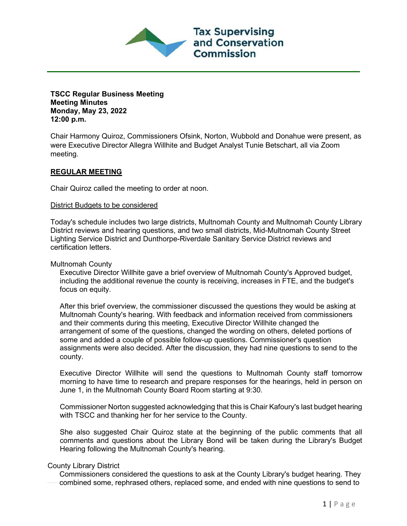

**TSCC Regular Business Meeting Meeting Minutes Monday, May 23, 2022 12:00 p.m.**

Chair Harmony Quiroz, Commissioners Ofsink, Norton, Wubbold and Donahue were present, as were Executive Director Allegra Willhite and Budget Analyst Tunie Betschart, all via Zoom meeting.

## **REGULAR MEETING**

Chair Quiroz called the meeting to order at noon.

## District Budgets to be considered

Today's schedule includes two large districts, Multnomah County and Multnomah County Library District reviews and hearing questions, and two small districts, Mid-Multnomah County Street Lighting Service District and Dunthorpe-Riverdale Sanitary Service District reviews and certification letters.

Multnomah County

Executive Director Willhite gave a brief overview of Multnomah County's Approved budget, including the additional revenue the county is receiving, increases in FTE, and the budget's focus on equity.

After this brief overview, the commissioner discussed the questions they would be asking at Multnomah County's hearing. With feedback and information received from commissioners and their comments during this meeting, Executive Director Willhite changed the arrangement of some of the questions, changed the wording on others, deleted portions of some and added a couple of possible follow-up questions. Commissioner's question assignments were also decided. After the discussion, they had nine questions to send to the county.

Executive Director Willhite will send the questions to Multnomah County staff tomorrow morning to have time to research and prepare responses for the hearings, held in person on June 1, in the Multnomah County Board Room starting at 9:30.

Commissioner Norton suggested acknowledging that this is Chair Kafoury's last budget hearing with TSCC and thanking her for her service to the County.

She also suggested Chair Quiroz state at the beginning of the public comments that all comments and questions about the Library Bond will be taken during the Library's Budget Hearing following the Multnomah County's hearing.

## County Library District

Commissioners considered the questions to ask at the County Library's budget hearing. They combined some, rephrased others, replaced some, and ended with nine questions to send to